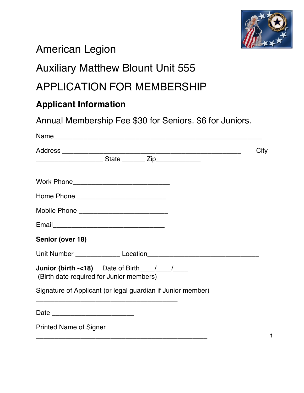

# American Legion

### Auxiliary Matthew Blount Unit 555

## APPLICATION FOR MEMBERSHIP

### **Applicant Information**

Annual Membership Fee \$30 for Seniors. \$6 for Juniors.

| Name                                                                                                           |      |
|----------------------------------------------------------------------------------------------------------------|------|
|                                                                                                                | City |
| _________________________State ________ Zip_______________                                                     |      |
|                                                                                                                |      |
|                                                                                                                |      |
|                                                                                                                |      |
|                                                                                                                |      |
| Senior (over 18)                                                                                               |      |
| Unit Number Location Location Location Line And Allen Line And Allen Line And Allen Line And Allen Line And Al |      |
| <b>Junior (birth -&lt;18)</b> Date of Birth $\frac{1}{\sqrt{2}}$<br>(Birth date required for Junior members)   |      |
| Signature of Applicant (or legal guardian if Junior member)                                                    |      |
|                                                                                                                |      |
| <b>Printed Name of Signer</b>                                                                                  | 1    |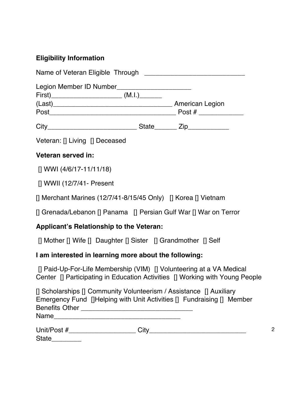### **Eligibility Information**

| Legion Member ID Number________________________                                                                                                      |  |
|------------------------------------------------------------------------------------------------------------------------------------------------------|--|
|                                                                                                                                                      |  |
| Veteran: [] Living [] Deceased                                                                                                                       |  |
| Veteran served in:                                                                                                                                   |  |
| $[]$ WWI (4/6/17-11/11/18)                                                                                                                           |  |
| [] WWII (12/7/41- Present                                                                                                                            |  |
| [] Merchant Marines (12/7/41-8/15/45 Only) [] Korea [] Vietnam                                                                                       |  |
| [] Grenada/Lebanon [] Panama [] Persian Gulf War [] War on Terror                                                                                    |  |
| Applicant's Relationship to the Veteran:                                                                                                             |  |
| [] Mother [] Wife [] Daughter [] Sister [] Grandmother [] Self                                                                                       |  |
| I am interested in learning more about the following:                                                                                                |  |
| [] Paid-Up-For-Life Membership (VIM) [] Volunteering at a VA Medical<br>Center [] Participating in Education Activities [] Working with Young People |  |
| [] Scholarships [] Community Volunteerism / Assistance [] Auxiliary<br>Emergency Fund []Helping with Unit Activities [] Fundraising [] Member        |  |

| . .<br>- |  |
|----------|--|
|          |  |

State\_\_\_\_\_\_\_\_\_